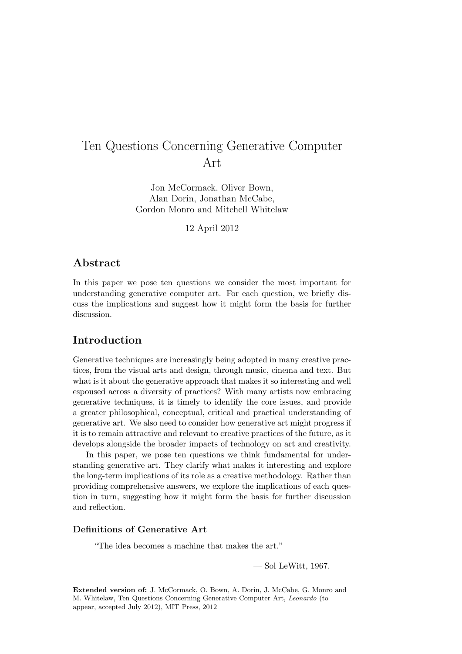Jon McCormack, Oliver Bown, Alan Dorin, Jonathan McCabe, Gordon Monro and Mitchell Whitelaw

12 April 2012

# Abstract

In this paper we pose ten questions we consider the most important for understanding generative computer art. For each question, we briefly discuss the implications and suggest how it might form the basis for further discussion.

### Introduction

Generative techniques are increasingly being adopted in many creative practices, from the visual arts and design, through music, cinema and text. But what is it about the generative approach that makes it so interesting and well espoused across a diversity of practices? With many artists now embracing generative techniques, it is timely to identify the core issues, and provide a greater philosophical, conceptual, critical and practical understanding of generative art. We also need to consider how generative art might progress if it is to remain attractive and relevant to creative practices of the future, as it develops alongside the broader impacts of technology on art and creativity.

In this paper, we pose ten questions we think fundamental for understanding generative art. They clarify what makes it interesting and explore the long-term implications of its role as a creative methodology. Rather than providing comprehensive answers, we explore the implications of each question in turn, suggesting how it might form the basis for further discussion and reflection.

### Definitions of Generative Art

"The idea becomes a machine that makes the art."

— Sol LeWitt, 1967.

Extended version of: J. McCormack, O. Bown, A. Dorin, J. McCabe, G. Monro and M. Whitelaw, Ten Questions Concerning Generative Computer Art, Leonardo (to appear, accepted July 2012), MIT Press, 2012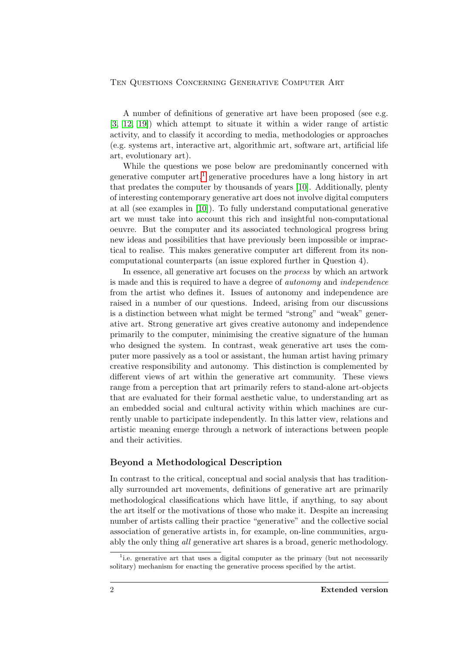A number of definitions of generative art have been proposed (see e.g. [\[3,](#page-14-0) [12,](#page-15-0) [19\]](#page-16-0)) which attempt to situate it within a wider range of artistic activity, and to classify it according to media, methodologies or approaches (e.g. systems art, interactive art, algorithmic art, software art, artificial life art, evolutionary art).

While the questions we pose below are predominantly concerned with generative computer  $art<sup>1</sup>$  $art<sup>1</sup>$  $art<sup>1</sup>$  generative procedures have a long history in art that predates the computer by thousands of years [\[10\]](#page-15-1). Additionally, plenty of interesting contemporary generative art does not involve digital computers at all (see examples in [\[10\]](#page-15-1)). To fully understand computational generative art we must take into account this rich and insightful non-computational oeuvre. But the computer and its associated technological progress bring new ideas and possibilities that have previously been impossible or impractical to realise. This makes generative computer art different from its noncomputational counterparts (an issue explored further in Question 4).

In essence, all generative art focuses on the process by which an artwork is made and this is required to have a degree of autonomy and independence from the artist who defines it. Issues of autonomy and independence are raised in a number of our questions. Indeed, arising from our discussions is a distinction between what might be termed "strong" and "weak" generative art. Strong generative art gives creative autonomy and independence primarily to the computer, minimising the creative signature of the human who designed the system. In contrast, weak generative art uses the computer more passively as a tool or assistant, the human artist having primary creative responsibility and autonomy. This distinction is complemented by different views of art within the generative art community. These views range from a perception that art primarily refers to stand-alone art-objects that are evaluated for their formal aesthetic value, to understanding art as an embedded social and cultural activity within which machines are currently unable to participate independently. In this latter view, relations and artistic meaning emerge through a network of interactions between people and their activities.

### Beyond a Methodological Description

In contrast to the critical, conceptual and social analysis that has traditionally surrounded art movements, definitions of generative art are primarily methodological classifications which have little, if anything, to say about the art itself or the motivations of those who make it. Despite an increasing number of artists calling their practice "generative" and the collective social association of generative artists in, for example, on-line communities, arguably the only thing all generative art shares is a broad, generic methodology.

<span id="page-1-0"></span><sup>&</sup>lt;sup>1</sup> i.e. generative art that uses a digital computer as the primary (but not necessarily solitary) mechanism for enacting the generative process specified by the artist.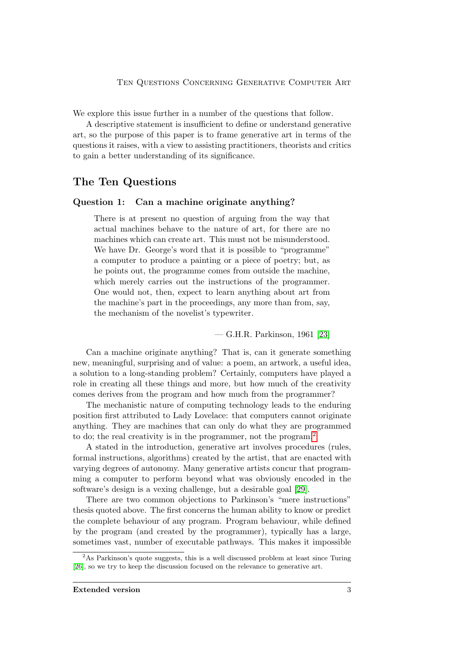We explore this issue further in a number of the questions that follow.

A descriptive statement is insufficient to define or understand generative art, so the purpose of this paper is to frame generative art in terms of the questions it raises, with a view to assisting practitioners, theorists and critics to gain a better understanding of its significance.

# The Ten Questions

#### Question 1: Can a machine originate anything?

There is at present no question of arguing from the way that actual machines behave to the nature of art, for there are no machines which can create art. This must not be misunderstood. We have Dr. George's word that it is possible to "programme" a computer to produce a painting or a piece of poetry; but, as he points out, the programme comes from outside the machine, which merely carries out the instructions of the programmer. One would not, then, expect to learn anything about art from the machine's part in the proceedings, any more than from, say, the mechanism of the novelist's typewriter.

— G.H.R. Parkinson, 1961 [\[23\]](#page-16-1)

Can a machine originate anything? That is, can it generate something new, meaningful, surprising and of value: a poem, an artwork, a useful idea, a solution to a long-standing problem? Certainly, computers have played a role in creating all these things and more, but how much of the creativity comes derives from the program and how much from the programmer?

The mechanistic nature of computing technology leads to the enduring position first attributed to Lady Lovelace: that computers cannot originate anything. They are machines that can only do what they are programmed to do; the real creativity is in the programmer, not the program.<sup>[2](#page-2-0)</sup>

A stated in the introduction, generative art involves procedures (rules, formal instructions, algorithms) created by the artist, that are enacted with varying degrees of autonomy. Many generative artists concur that programming a computer to perform beyond what was obviously encoded in the software's design is a vexing challenge, but a desirable goal [\[29\]](#page-16-2).

There are two common objections to Parkinson's "mere instructions" thesis quoted above. The first concerns the human ability to know or predict the complete behaviour of any program. Program behaviour, while defined by the program (and created by the programmer), typically has a large, sometimes vast, number of executable pathways. This makes it impossible

<span id="page-2-0"></span><sup>&</sup>lt;sup>2</sup>As Parkinson's quote suggests, this is a well discussed problem at least since Turing [\[26\]](#page-16-3), so we try to keep the discussion focused on the relevance to generative art.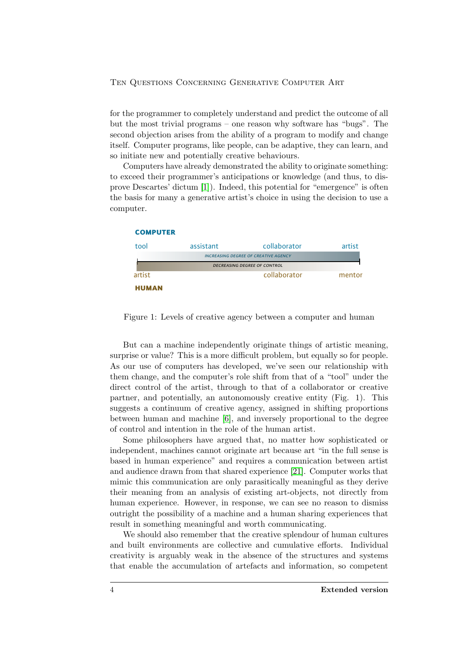for the programmer to completely understand and predict the outcome of all but the most trivial programs – one reason why software has "bugs". The second objection arises from the ability of a program to modify and change itself. Computer programs, like people, can be adaptive, they can learn, and so initiate new and potentially creative behaviours.

Computers have already demonstrated the ability to originate something: to exceed their programmer's anticipations or knowledge (and thus, to disprove Descartes' dictum [\[1\]](#page-14-1)). Indeed, this potential for "emergence" is often the basis for many a generative artist's choice in using the decision to use a computer.



Figure 1: Levels of creative agency between a computer and human

But can a machine independently originate things of artistic meaning, surprise or value? This is a more difficult problem, but equally so for people. As our use of computers has developed, we've seen our relationship with them change, and the computer's role shift from that of a "tool" under the direct control of the artist, through to that of a collaborator or creative partner, and potentially, an autonomously creative entity (Fig. 1). This suggests a continuum of creative agency, assigned in shifting proportions between human and machine [\[6\]](#page-14-2), and inversely proportional to the degree of control and intention in the role of the human artist.

Some philosophers have argued that, no matter how sophisticated or independent, machines cannot originate art because art "in the full sense is based in human experience" and requires a communication between artist and audience drawn from that shared experience [\[21\]](#page-16-4). Computer works that mimic this communication are only parasitically meaningful as they derive their meaning from an analysis of existing art-objects, not directly from human experience. However, in response, we can see no reason to dismiss outright the possibility of a machine and a human sharing experiences that result in something meaningful and worth communicating.

We should also remember that the creative splendour of human cultures and built environments are collective and cumulative efforts. Individual creativity is arguably weak in the absence of the structures and systems that enable the accumulation of artefacts and information, so competent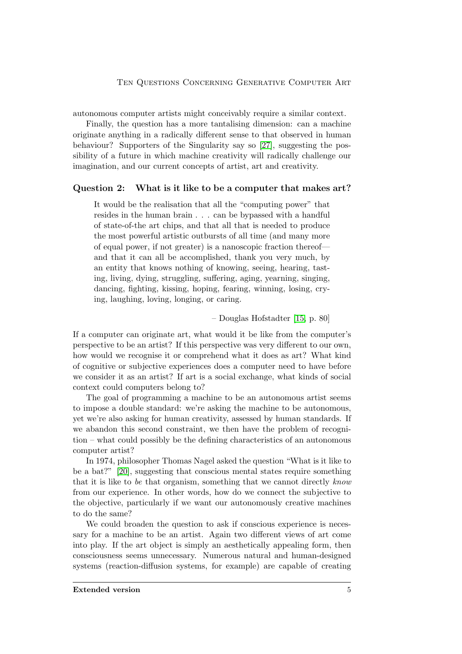autonomous computer artists might conceivably require a similar context.

Finally, the question has a more tantalising dimension: can a machine originate anything in a radically different sense to that observed in human behaviour? Supporters of the Singularity say so [\[27\]](#page-16-5), suggesting the possibility of a future in which machine creativity will radically challenge our imagination, and our current concepts of artist, art and creativity.

#### Question 2: What is it like to be a computer that makes art?

It would be the realisation that all the "computing power" that resides in the human brain . . . can be bypassed with a handful of state-of-the art chips, and that all that is needed to produce the most powerful artistic outbursts of all time (and many more of equal power, if not greater) is a nanoscopic fraction thereof and that it can all be accomplished, thank you very much, by an entity that knows nothing of knowing, seeing, hearing, tasting, living, dying, struggling, suffering, aging, yearning, singing, dancing, fighting, kissing, hoping, fearing, winning, losing, crying, laughing, loving, longing, or caring.

– Douglas Hofstadter [\[15,](#page-15-2) p. 80]

If a computer can originate art, what would it be like from the computer's perspective to be an artist? If this perspective was very different to our own, how would we recognise it or comprehend what it does as art? What kind of cognitive or subjective experiences does a computer need to have before we consider it as an artist? If art is a social exchange, what kinds of social context could computers belong to?

The goal of programming a machine to be an autonomous artist seems to impose a double standard: we're asking the machine to be autonomous, yet we're also asking for human creativity, assessed by human standards. If we abandon this second constraint, we then have the problem of recognition – what could possibly be the defining characteristics of an autonomous computer artist?

In 1974, philosopher Thomas Nagel asked the question "What is it like to be a bat?" [\[20\]](#page-16-6), suggesting that conscious mental states require something that it is like to be that organism, something that we cannot directly know from our experience. In other words, how do we connect the subjective to the objective, particularly if we want our autonomously creative machines to do the same?

We could broaden the question to ask if conscious experience is necessary for a machine to be an artist. Again two different views of art come into play. If the art object is simply an aesthetically appealing form, then consciousness seems unnecessary. Numerous natural and human-designed systems (reaction-diffusion systems, for example) are capable of creating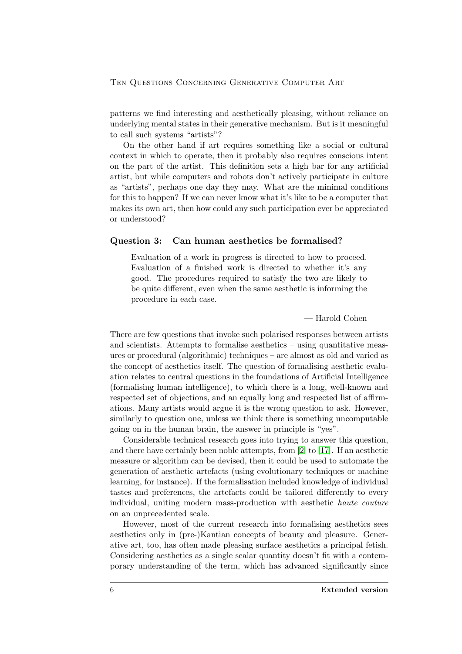patterns we find interesting and aesthetically pleasing, without reliance on underlying mental states in their generative mechanism. But is it meaningful to call such systems "artists"?

On the other hand if art requires something like a social or cultural context in which to operate, then it probably also requires conscious intent on the part of the artist. This definition sets a high bar for any artificial artist, but while computers and robots don't actively participate in culture as "artists", perhaps one day they may. What are the minimal conditions for this to happen? If we can never know what it's like to be a computer that makes its own art, then how could any such participation ever be appreciated or understood?

#### Question 3: Can human aesthetics be formalised?

Evaluation of a work in progress is directed to how to proceed. Evaluation of a finished work is directed to whether it's any good. The procedures required to satisfy the two are likely to be quite different, even when the same aesthetic is informing the procedure in each case.

— Harold Cohen

There are few questions that invoke such polarised responses between artists and scientists. Attempts to formalise aesthetics – using quantitative measures or procedural (algorithmic) techniques – are almost as old and varied as the concept of aesthetics itself. The question of formalising aesthetic evaluation relates to central questions in the foundations of Artificial Intelligence (formalising human intelligence), to which there is a long, well-known and respected set of objections, and an equally long and respected list of affirmations. Many artists would argue it is the wrong question to ask. However, similarly to question one, unless we think there is something uncomputable going on in the human brain, the answer in principle is "yes".

Considerable technical research goes into trying to answer this question, and there have certainly been noble attempts, from [\[2\]](#page-14-3) to [\[17\]](#page-15-3). If an aesthetic measure or algorithm can be devised, then it could be used to automate the generation of aesthetic artefacts (using evolutionary techniques or machine learning, for instance). If the formalisation included knowledge of individual tastes and preferences, the artefacts could be tailored differently to every individual, uniting modern mass-production with aesthetic haute couture on an unprecedented scale.

However, most of the current research into formalising aesthetics sees aesthetics only in (pre-)Kantian concepts of beauty and pleasure. Generative art, too, has often made pleasing surface aesthetics a principal fetish. Considering aesthetics as a single scalar quantity doesn't fit with a contemporary understanding of the term, which has advanced significantly since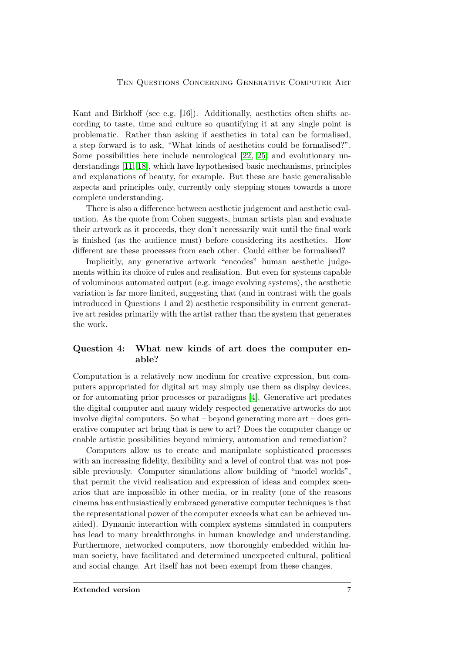Kant and Birkhoff (see e.g. [\[16\]](#page-15-4)). Additionally, aesthetics often shifts according to taste, time and culture so quantifying it at any single point is problematic. Rather than asking if aesthetics in total can be formalised, a step forward is to ask, "What kinds of aesthetics could be formalised?". Some possibilities here include neurological [\[22,](#page-16-7) [25\]](#page-16-8) and evolutionary understandings [\[11,](#page-15-5) [18\]](#page-15-6), which have hypothesised basic mechanisms, principles and explanations of beauty, for example. But these are basic generalisable aspects and principles only, currently only stepping stones towards a more complete understanding.

There is also a difference between aesthetic judgement and aesthetic evaluation. As the quote from Cohen suggests, human artists plan and evaluate their artwork as it proceeds, they don't necessarily wait until the final work is finished (as the audience must) before considering its aesthetics. How different are these processes from each other. Could either be formalised?

Implicitly, any generative artwork "encodes" human aesthetic judgements within its choice of rules and realisation. But even for systems capable of voluminous automated output (e.g. image evolving systems), the aesthetic variation is far more limited, suggesting that (and in contrast with the goals introduced in Questions 1 and 2) aesthetic responsibility in current generative art resides primarily with the artist rather than the system that generates the work.

### Question 4: What new kinds of art does the computer enable?

Computation is a relatively new medium for creative expression, but computers appropriated for digital art may simply use them as display devices, or for automating prior processes or paradigms [\[4\]](#page-14-4). Generative art predates the digital computer and many widely respected generative artworks do not involve digital computers. So what – beyond generating more art – does generative computer art bring that is new to art? Does the computer change or enable artistic possibilities beyond mimicry, automation and remediation?

Computers allow us to create and manipulate sophisticated processes with an increasing fidelity, flexibility and a level of control that was not possible previously. Computer simulations allow building of "model worlds", that permit the vivid realisation and expression of ideas and complex scenarios that are impossible in other media, or in reality (one of the reasons cinema has enthusiastically embraced generative computer techniques is that the representational power of the computer exceeds what can be achieved unaided). Dynamic interaction with complex systems simulated in computers has lead to many breakthroughs in human knowledge and understanding. Furthermore, networked computers, now thoroughly embedded within human society, have facilitated and determined unexpected cultural, political and social change. Art itself has not been exempt from these changes.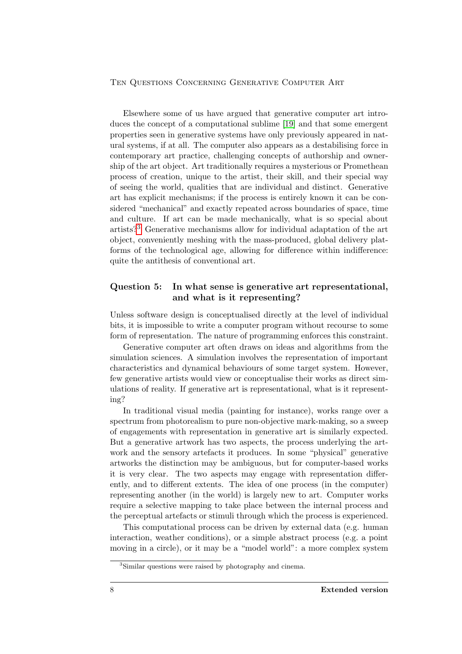Elsewhere some of us have argued that generative computer art introduces the concept of a computational sublime [\[19\]](#page-16-0) and that some emergent properties seen in generative systems have only previously appeared in natural systems, if at all. The computer also appears as a destabilising force in contemporary art practice, challenging concepts of authorship and ownership of the art object. Art traditionally requires a mysterious or Promethean process of creation, unique to the artist, their skill, and their special way of seeing the world, qualities that are individual and distinct. Generative art has explicit mechanisms; if the process is entirely known it can be considered "mechanical" and exactly repeated across boundaries of space, time and culture. If art can be made mechanically, what is so special about artists?[3](#page-7-0) Generative mechanisms allow for individual adaptation of the art object, conveniently meshing with the mass-produced, global delivery platforms of the technological age, allowing for difference within indifference: quite the antithesis of conventional art.

### Question 5: In what sense is generative art representational, and what is it representing?

Unless software design is conceptualised directly at the level of individual bits, it is impossible to write a computer program without recourse to some form of representation. The nature of programming enforces this constraint.

Generative computer art often draws on ideas and algorithms from the simulation sciences. A simulation involves the representation of important characteristics and dynamical behaviours of some target system. However, few generative artists would view or conceptualise their works as direct simulations of reality. If generative art is representational, what is it representing?

In traditional visual media (painting for instance), works range over a spectrum from photorealism to pure non-objective mark-making, so a sweep of engagements with representation in generative art is similarly expected. But a generative artwork has two aspects, the process underlying the artwork and the sensory artefacts it produces. In some "physical" generative artworks the distinction may be ambiguous, but for computer-based works it is very clear. The two aspects may engage with representation differently, and to different extents. The idea of one process (in the computer) representing another (in the world) is largely new to art. Computer works require a selective mapping to take place between the internal process and the perceptual artefacts or stimuli through which the process is experienced.

This computational process can be driven by external data (e.g. human interaction, weather conditions), or a simple abstract process (e.g. a point moving in a circle), or it may be a "model world": a more complex system

<span id="page-7-0"></span><sup>3</sup>Similar questions were raised by photography and cinema.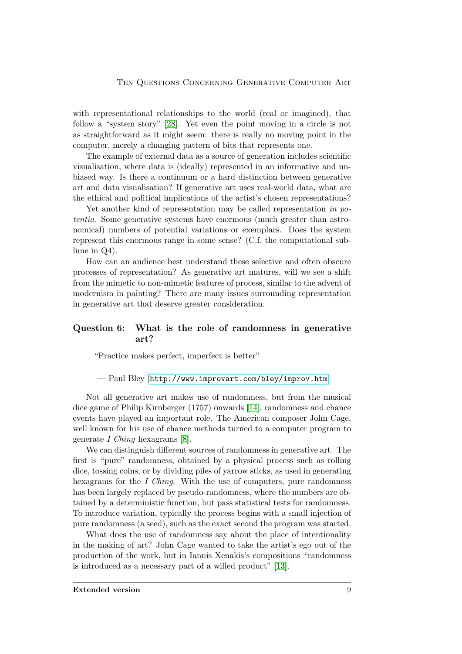with representational relationships to the world (real or imagined), that follow a "system story" [\[28\]](#page-16-9). Yet even the point moving in a circle is not as straightforward as it might seem: there is really no moving point in the computer, merely a changing pattern of bits that represents one.

The example of external data as a source of generation includes scientific visualisation, where data is (ideally) represented in an informative and unbiased way. Is there a continuum or a hard distinction between generative art and data visualisation? If generative art uses real-world data, what are the ethical and political implications of the artist's chosen representations?

Yet another kind of representation may be called representation in potentia. Some generative systems have enormous (much greater than astronomical) numbers of potential variations or exemplars. Does the system represent this enormous range in some sense? (C.f. the computational sublime in Q4).

How can an audience best understand these selective and often obscure processes of representation? As generative art matures, will we see a shift from the mimetic to non-mimetic features of process, similar to the advent of modernism in painting? There are many issues surrounding representation in generative art that deserve greater consideration.

### Question 6: What is the role of randomness in generative art?

"Practice makes perfect, imperfect is better"

— Paul Bley [<http://www.improvart.com/bley/improv.htm>]

Not all generative art makes use of randomness, but from the musical dice game of Philip Kirnberger (1757) onwards [\[14\]](#page-15-7), randomness and chance events have played an important role. The American composer John Cage, well known for his use of chance methods turned to a computer program to generate I Ching hexagrams [\[8\]](#page-15-8).

We can distinguish different sources of randomness in generative art. The first is "pure" randomness, obtained by a physical process such as rolling dice, tossing coins, or by dividing piles of yarrow sticks, as used in generating hexagrams for the I Ching. With the use of computers, pure randomness has been largely replaced by pseudo-randomness, where the numbers are obtained by a deterministic function, but pass statistical tests for randomness. To introduce variation, typically the process begins with a small injection of pure randomness (a seed), such as the exact second the program was started.

What does the use of randomness say about the place of intentionality in the making of art? John Cage wanted to take the artist's ego out of the production of the work, but in Iannis Xenakis's compositions "randomness is introduced as a necessary part of a willed product" [\[13\]](#page-15-9).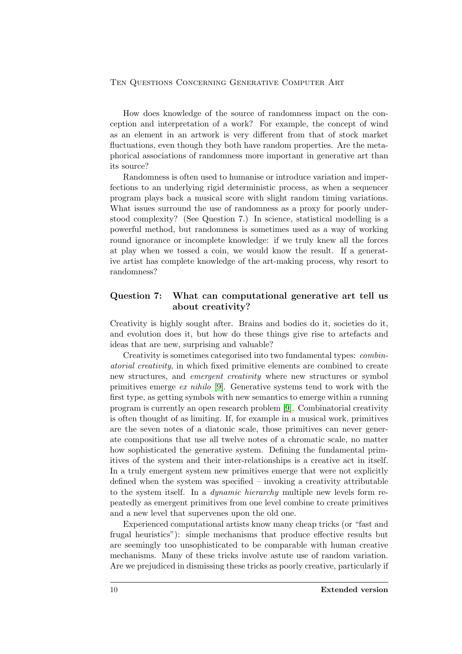How does knowledge of the source of randomness impact on the conception and interpretation of a work? For example, the concept of wind as an element in an artwork is very different from that of stock market fluctuations, even though they both have random properties. Are the metaphorical associations of randomness more important in generative art than its source?

Randomness is often used to humanise or introduce variation and imperfections to an underlying rigid deterministic process, as when a sequencer program plays back a musical score with slight random timing variations. What issues surround the use of randomness as a proxy for poorly understood complexity? (See Question 7.) In science, statistical modelling is a powerful method, but randomness is sometimes used as a way of working round ignorance or incomplete knowledge: if we truly knew all the forces at play when we tossed a coin, we would know the result. If a generative artist has complete knowledge of the art-making process, why resort to randomness?

### Question 7: What can computational generative art tell us about creativity?

Creativity is highly sought after. Brains and bodies do it, societies do it, and evolution does it, but how do these things give rise to artefacts and ideas that are new, surprising and valuable?

Creativity is sometimes categorised into two fundamental types: combinatorial creativity, in which fixed primitive elements are combined to create new structures, and emergent creativity where new structures or symbol primitives emerge ex nihilo [\[9\]](#page-15-10). Generative systems tend to work with the first type, as getting symbols with new semantics to emerge within a running program is currently an open research problem [\[9\]](#page-15-10). Combinatorial creativity is often thought of as limiting. If, for example in a musical work, primitives are the seven notes of a diatonic scale, those primitives can never generate compositions that use all twelve notes of a chromatic scale, no matter how sophisticated the generative system. Defining the fundamental primitives of the system and their inter-relationships is a creative act in itself. In a truly emergent system new primitives emerge that were not explicitly defined when the system was specified – invoking a creativity attributable to the system itself. In a dynamic hierarchy multiple new levels form repeatedly as emergent primitives from one level combine to create primitives and a new level that supervenes upon the old one.

Experienced computational artists know many cheap tricks (or "fast and frugal heuristics"): simple mechanisms that produce effective results but are seemingly too unsophisticated to be comparable with human creative mechanisms. Many of these tricks involve astute use of random variation. Are we prejudiced in dismissing these tricks as poorly creative, particularly if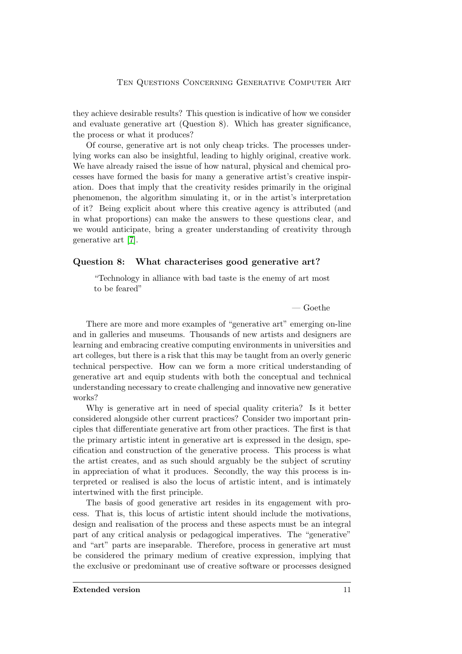they achieve desirable results? This question is indicative of how we consider and evaluate generative art (Question 8). Which has greater significance, the process or what it produces?

Of course, generative art is not only cheap tricks. The processes underlying works can also be insightful, leading to highly original, creative work. We have already raised the issue of how natural, physical and chemical processes have formed the basis for many a generative artist's creative inspiration. Does that imply that the creativity resides primarily in the original phenomenon, the algorithm simulating it, or in the artist's interpretation of it? Being explicit about where this creative agency is attributed (and in what proportions) can make the answers to these questions clear, and we would anticipate, bring a greater understanding of creativity through generative art [\[7\]](#page-15-11).

### Question 8: What characterises good generative art?

"Technology in alliance with bad taste is the enemy of art most to be feared"

— Goethe

There are more and more examples of "generative art" emerging on-line and in galleries and museums. Thousands of new artists and designers are learning and embracing creative computing environments in universities and art colleges, but there is a risk that this may be taught from an overly generic technical perspective. How can we form a more critical understanding of generative art and equip students with both the conceptual and technical understanding necessary to create challenging and innovative new generative works?

Why is generative art in need of special quality criteria? Is it better considered alongside other current practices? Consider two important principles that differentiate generative art from other practices. The first is that the primary artistic intent in generative art is expressed in the design, specification and construction of the generative process. This process is what the artist creates, and as such should arguably be the subject of scrutiny in appreciation of what it produces. Secondly, the way this process is interpreted or realised is also the locus of artistic intent, and is intimately intertwined with the first principle.

The basis of good generative art resides in its engagement with process. That is, this locus of artistic intent should include the motivations, design and realisation of the process and these aspects must be an integral part of any critical analysis or pedagogical imperatives. The "generative" and "art" parts are inseparable. Therefore, process in generative art must be considered the primary medium of creative expression, implying that the exclusive or predominant use of creative software or processes designed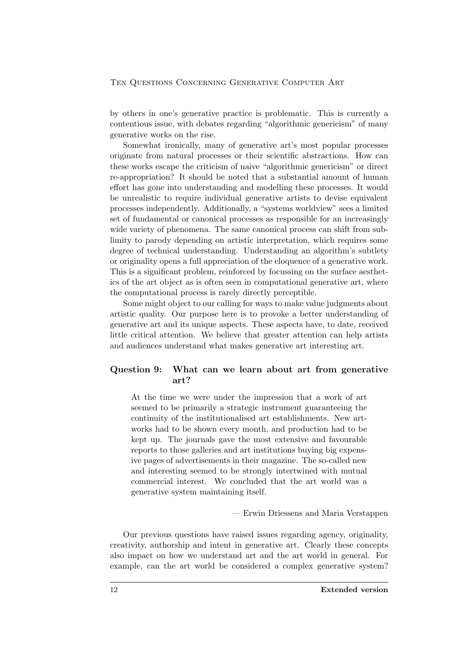by others in one's generative practice is problematic. This is currently a contentious issue, with debates regarding "algorithmic genericism" of many generative works on the rise.

Somewhat ironically, many of generative art's most popular processes originate from natural processes or their scientific abstractions. How can these works escape the criticism of naive "algorithmic genericism" or direct re-appropriation? It should be noted that a substantial amount of human effort has gone into understanding and modelling these processes. It would be unrealistic to require individual generative artists to devise equivalent processes independently. Additionally, a "systems worldview" sees a limited set of fundamental or canonical processes as responsible for an increasingly wide variety of phenomena. The same canonical process can shift from sublimity to parody depending on artistic interpretation, which requires some degree of technical understanding. Understanding an algorithm's subtlety or originality opens a full appreciation of the eloquence of a generative work. This is a significant problem, reinforced by focussing on the surface aesthetics of the art object as is often seen in computational generative art, where the computational process is rarely directly perceptible.

Some might object to our calling for ways to make value judgments about artistic quality. Our purpose here is to provoke a better understanding of generative art and its unique aspects. These aspects have, to date, received little critical attention. We believe that greater attention can help artists and audiences understand what makes generative art interesting art.

### Question 9: What can we learn about art from generative art?

At the time we were under the impression that a work of art seemed to be primarily a strategic instrument guaranteeing the continuity of the institutionalised art establishments. New artworks had to be shown every month, and production had to be kept up. The journals gave the most extensive and favourable reports to those galleries and art institutions buying big expensive pages of advertisements in their magazine. The so-called new and interesting seemed to be strongly intertwined with mutual commercial interest. We concluded that the art world was a generative system maintaining itself.

### — Erwin Driessens and Maria Verstappen

Our previous questions have raised issues regarding agency, originality, creativity, authorship and intent in generative art. Clearly these concepts also impact on how we understand art and the art world in general. For example, can the art world be considered a complex generative system?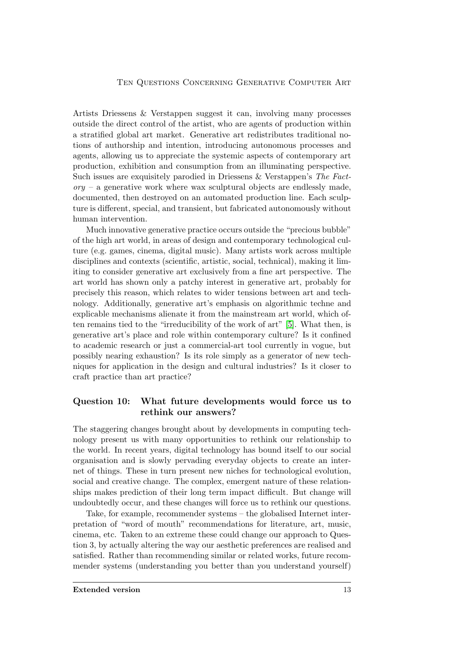Artists Driessens & Verstappen suggest it can, involving many processes outside the direct control of the artist, who are agents of production within a stratified global art market. Generative art redistributes traditional notions of authorship and intention, introducing autonomous processes and agents, allowing us to appreciate the systemic aspects of contemporary art production, exhibition and consumption from an illuminating perspective. Such issues are exquisitely parodied in Driessens & Verstappen's The Fact- $\gamma_{0}$  – a generative work where wax sculptural objects are endlessly made. documented, then destroyed on an automated production line. Each sculpture is different, special, and transient, but fabricated autonomously without human intervention.

Much innovative generative practice occurs outside the "precious bubble" of the high art world, in areas of design and contemporary technological culture (e.g. games, cinema, digital music). Many artists work across multiple disciplines and contexts (scientific, artistic, social, technical), making it limiting to consider generative art exclusively from a fine art perspective. The art world has shown only a patchy interest in generative art, probably for precisely this reason, which relates to wider tensions between art and technology. Additionally, generative art's emphasis on algorithmic techne and explicable mechanisms alienate it from the mainstream art world, which often remains tied to the "irreducibility of the work of art" [\[5\]](#page-14-5). What then, is generative art's place and role within contemporary culture? Is it confined to academic research or just a commercial-art tool currently in vogue, but possibly nearing exhaustion? Is its role simply as a generator of new techniques for application in the design and cultural industries? Is it closer to craft practice than art practice?

### Question 10: What future developments would force us to rethink our answers?

The staggering changes brought about by developments in computing technology present us with many opportunities to rethink our relationship to the world. In recent years, digital technology has bound itself to our social organisation and is slowly pervading everyday objects to create an internet of things. These in turn present new niches for technological evolution, social and creative change. The complex, emergent nature of these relationships makes prediction of their long term impact difficult. But change will undoubtedly occur, and these changes will force us to rethink our questions.

Take, for example, recommender systems – the globalised Internet interpretation of "word of mouth" recommendations for literature, art, music, cinema, etc. Taken to an extreme these could change our approach to Question 3, by actually altering the way our aesthetic preferences are realised and satisfied. Rather than recommending similar or related works, future recommender systems (understanding you better than you understand yourself)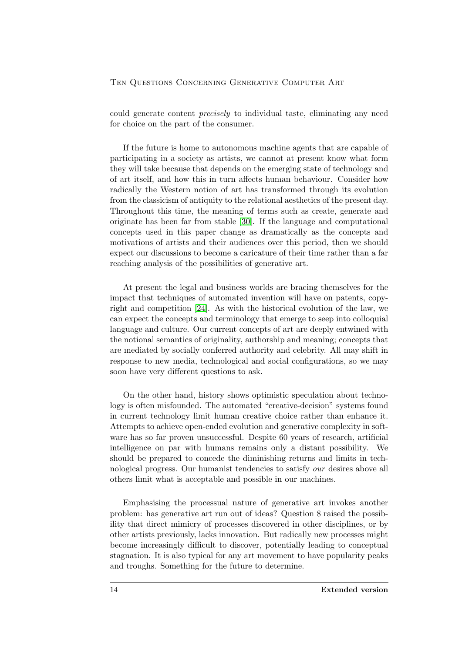could generate content precisely to individual taste, eliminating any need for choice on the part of the consumer.

If the future is home to autonomous machine agents that are capable of participating in a society as artists, we cannot at present know what form they will take because that depends on the emerging state of technology and of art itself, and how this in turn affects human behaviour. Consider how radically the Western notion of art has transformed through its evolution from the classicism of antiquity to the relational aesthetics of the present day. Throughout this time, the meaning of terms such as create, generate and originate has been far from stable [\[30\]](#page-16-10). If the language and computational concepts used in this paper change as dramatically as the concepts and motivations of artists and their audiences over this period, then we should expect our discussions to become a caricature of their time rather than a far reaching analysis of the possibilities of generative art.

At present the legal and business worlds are bracing themselves for the impact that techniques of automated invention will have on patents, copyright and competition [\[24\]](#page-16-11). As with the historical evolution of the law, we can expect the concepts and terminology that emerge to seep into colloquial language and culture. Our current concepts of art are deeply entwined with the notional semantics of originality, authorship and meaning; concepts that are mediated by socially conferred authority and celebrity. All may shift in response to new media, technological and social configurations, so we may soon have very different questions to ask.

On the other hand, history shows optimistic speculation about technology is often misfounded. The automated "creative-decision" systems found in current technology limit human creative choice rather than enhance it. Attempts to achieve open-ended evolution and generative complexity in software has so far proven unsuccessful. Despite 60 years of research, artificial intelligence on par with humans remains only a distant possibility. We should be prepared to concede the diminishing returns and limits in technological progress. Our humanist tendencies to satisfy our desires above all others limit what is acceptable and possible in our machines.

Emphasising the processual nature of generative art invokes another problem: has generative art run out of ideas? Question 8 raised the possibility that direct mimicry of processes discovered in other disciplines, or by other artists previously, lacks innovation. But radically new processes might become increasingly difficult to discover, potentially leading to conceptual stagnation. It is also typical for any art movement to have popularity peaks and troughs. Something for the future to determine.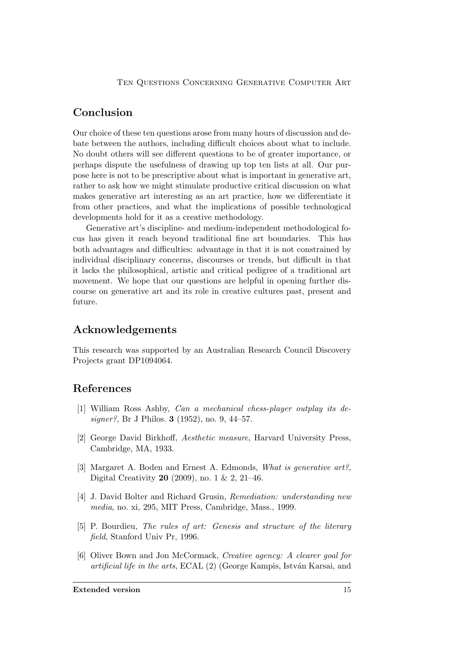# Conclusion

Our choice of these ten questions arose from many hours of discussion and debate between the authors, including difficult choices about what to include. No doubt others will see different questions to be of greater importance, or perhaps dispute the usefulness of drawing up top ten lists at all. Our purpose here is not to be prescriptive about what is important in generative art, rather to ask how we might stimulate productive critical discussion on what makes generative art interesting as an art practice, how we differentiate it from other practices, and what the implications of possible technological developments hold for it as a creative methodology.

Generative art's discipline- and medium-independent methodological focus has given it reach beyond traditional fine art boundaries. This has both advantages and difficulties: advantage in that it is not constrained by individual disciplinary concerns, discourses or trends, but difficult in that it lacks the philosophical, artistic and critical pedigree of a traditional art movement. We hope that our questions are helpful in opening further discourse on generative art and its role in creative cultures past, present and future.

# Acknowledgements

This research was supported by an Australian Research Council Discovery Projects grant DP1094064.

# References

- <span id="page-14-1"></span>[1] William Ross Ashby, Can a mechanical chess-player outplay its designer?, Br J Philos. 3 (1952), no. 9, 44–57.
- <span id="page-14-3"></span>[2] George David Birkhoff, Aesthetic measure, Harvard University Press, Cambridge, MA, 1933.
- <span id="page-14-0"></span>[3] Margaret A. Boden and Ernest A. Edmonds, What is generative art?, Digital Creativity 20 (2009), no. 1 & 2, 21–46.
- <span id="page-14-4"></span>[4] J. David Bolter and Richard Grusin, Remediation: understanding new media, no. xi, 295, MIT Press, Cambridge, Mass., 1999.
- <span id="page-14-5"></span>[5] P. Bourdieu, The rules of art: Genesis and structure of the literary field, Stanford Univ Pr, 1996.
- <span id="page-14-2"></span>[6] Oliver Bown and Jon McCormack, Creative agency: A clearer goal for artificial life in the arts, ECAL  $(2)$  (George Kampis, István Karsai, and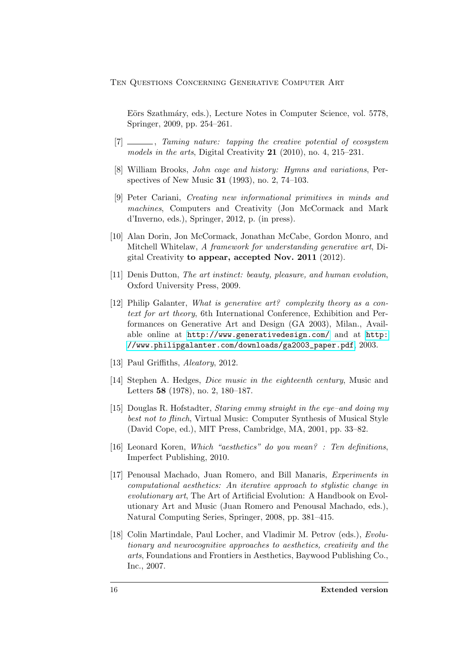Eörs Szathmáry, eds.), Lecture Notes in Computer Science, vol. 5778, Springer, 2009, pp. 254–261.

- <span id="page-15-11"></span>[7] \_\_\_\_\_\_\_, Taming nature: tapping the creative potential of ecosystem models in the arts, Digital Creativity  $21$  (2010), no. 4, 215–231.
- <span id="page-15-8"></span>[8] William Brooks, John cage and history: Hymns and variations, Perspectives of New Music 31 (1993), no. 2, 74–103.
- <span id="page-15-10"></span>[9] Peter Cariani, Creating new informational primitives in minds and machines, Computers and Creativity (Jon McCormack and Mark d'Inverno, eds.), Springer, 2012, p. (in press).
- <span id="page-15-1"></span>[10] Alan Dorin, Jon McCormack, Jonathan McCabe, Gordon Monro, and Mitchell Whitelaw, A framework for understanding generative art, Digital Creativity to appear, accepted Nov. 2011 (2012).
- <span id="page-15-5"></span>[11] Denis Dutton, The art instinct: beauty, pleasure, and human evolution, Oxford University Press, 2009.
- <span id="page-15-0"></span>[12] Philip Galanter, What is generative art? complexity theory as a context for art theory, 6th International Conference, Exhibition and Performances on Generative Art and Design (GA 2003), Milan., Available online at <http://www.generativedesign.com/> and at [http:](http://www.philipgalanter.com/downloads/ga2003_paper.pdf) [//www.philipgalanter.com/downloads/ga2003\\_paper.pdf](http://www.philipgalanter.com/downloads/ga2003_paper.pdf), 2003.
- <span id="page-15-9"></span>[13] Paul Griffiths, Aleatory, 2012.
- <span id="page-15-7"></span>[14] Stephen A. Hedges, Dice music in the eighteenth century, Music and Letters 58 (1978), no. 2, 180–187.
- <span id="page-15-2"></span>[15] Douglas R. Hofstadter, Staring emmy straight in the eye–and doing my best not to flinch, Virtual Music: Computer Synthesis of Musical Style (David Cope, ed.), MIT Press, Cambridge, MA, 2001, pp. 33–82.
- <span id="page-15-4"></span>[16] Leonard Koren, Which "aesthetics" do you mean? : Ten definitions, Imperfect Publishing, 2010.
- <span id="page-15-3"></span>[17] Penousal Machado, Juan Romero, and Bill Manaris, Experiments in computational aesthetics: An iterative approach to stylistic change in evolutionary art, The Art of Artificial Evolution: A Handbook on Evolutionary Art and Music (Juan Romero and Penousal Machado, eds.), Natural Computing Series, Springer, 2008, pp. 381–415.
- <span id="page-15-6"></span>[18] Colin Martindale, Paul Locher, and Vladimir M. Petrov (eds.), *Evolu*tionary and neurocognitive approaches to aesthetics, creativity and the arts, Foundations and Frontiers in Aesthetics, Baywood Publishing Co., Inc., 2007.